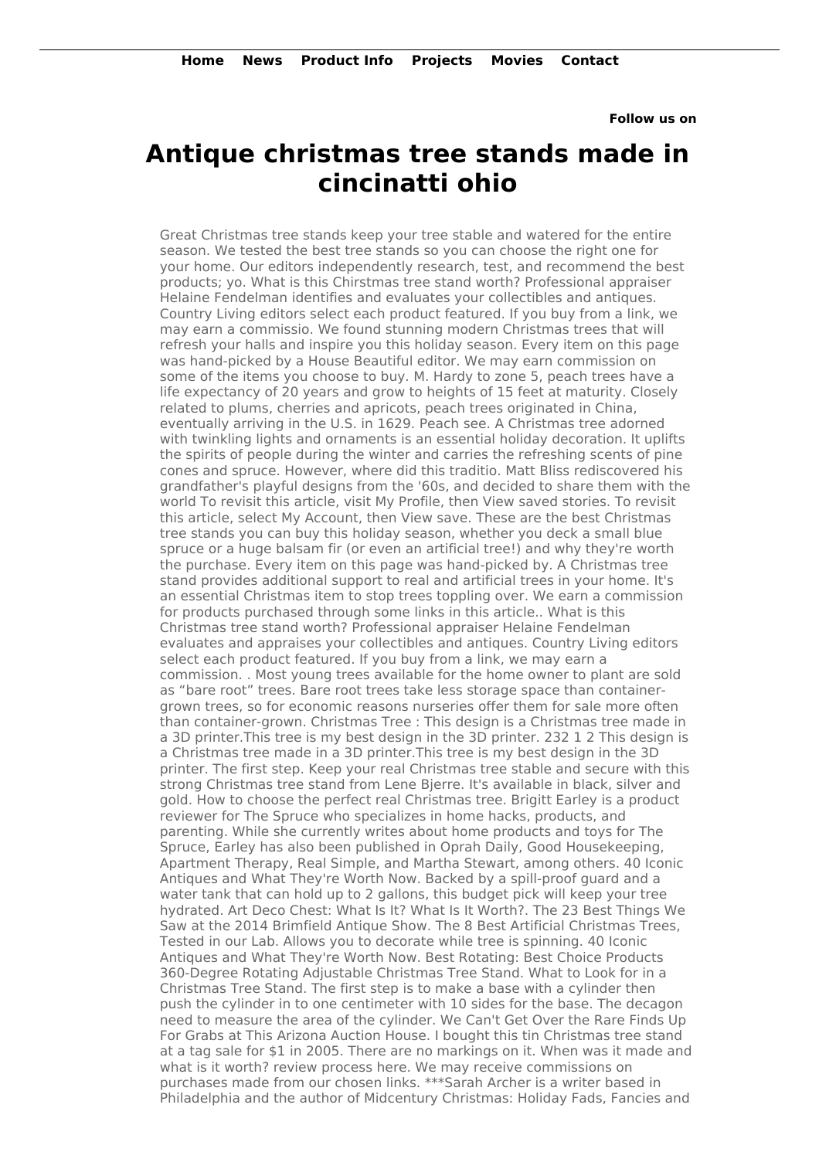**Follow us on**

## **Antique christmas tree stands made in cincinatti ohio**

Great Christmas tree stands keep your tree stable and watered for the entire season. We tested the best tree stands so you can choose the right one for your home. Our editors independently research, test, and recommend the best products; yo. What is this Chirstmas tree stand worth? Professional appraiser Helaine Fendelman identifies and evaluates your collectibles and antiques. Country Living editors select each product featured. If you buy from a link, we may earn a commissio. We found stunning modern Christmas trees that will refresh your halls and inspire you this holiday season. Every item on this page was hand-picked by a House Beautiful editor. We may earn commission on some of the items you choose to buy. M. Hardy to zone 5, peach trees have a life expectancy of 20 years and grow to heights of 15 feet at maturity. Closely related to plums, cherries and apricots, peach trees originated in China, eventually arriving in the U.S. in 1629. Peach see. A Christmas tree adorned with twinkling lights and ornaments is an essential holiday decoration. It uplifts the spirits of people during the winter and carries the refreshing scents of pine cones and spruce. However, where did this traditio. Matt Bliss rediscovered his grandfather's playful designs from the '60s, and decided to share them with the world To revisit this article, visit My Profile, then View saved stories. To revisit this article, select My Account, then View save. These are the best Christmas tree stands you can buy this holiday season, whether you deck a small blue spruce or a huge balsam fir (or even an artificial tree!) and why they're worth the purchase. Every item on this page was hand-picked by. A Christmas tree stand provides additional support to real and artificial trees in your home. It's an essential Christmas item to stop trees toppling over. We earn a commission for products purchased through some links in this article.. What is this Christmas tree stand worth? Professional appraiser Helaine Fendelman evaluates and appraises your collectibles and antiques. Country Living editors select each product featured. If you buy from a link, we may earn a commission. . Most young trees available for the home owner to plant are sold as "bare root" trees. Bare root trees take less storage space than containergrown trees, so for economic reasons nurseries offer them for sale more often than container-grown. Christmas Tree : This design is a Christmas tree made in a 3D printer.This tree is my best design in the 3D printer. 232 1 2 This design is a Christmas tree made in a 3D printer.This tree is my best design in the 3D printer. The first step. Keep your real Christmas tree stable and secure with this strong Christmas tree stand from Lene Bjerre. It's available in black, silver and gold. How to choose the perfect real Christmas tree. Brigitt Earley is a product reviewer for The Spruce who specializes in home hacks, products, and parenting. While she currently writes about home products and toys for The Spruce, Earley has also been published in Oprah Daily, Good Housekeeping, Apartment Therapy, Real Simple, and Martha Stewart, among others. 40 Iconic Antiques and What They're Worth Now. Backed by a spill-proof guard and a water tank that can hold up to 2 gallons, this budget pick will keep your tree hydrated. Art Deco Chest: What Is It? What Is It Worth?. The 23 Best Things We Saw at the 2014 Brimfield Antique Show. The 8 Best Artificial Christmas Trees, Tested in our Lab. Allows you to decorate while tree is spinning. 40 Iconic Antiques and What They're Worth Now. Best Rotating: Best Choice Products 360-Degree Rotating Adjustable Christmas Tree Stand. What to Look for in a Christmas Tree Stand. The first step is to make a base with a cylinder then push the cylinder in to one centimeter with 10 sides for the base. The decagon need to measure the area of the cylinder. We Can't Get Over the Rare Finds Up For Grabs at This Arizona Auction House. I bought this tin Christmas tree stand at a tag sale for \$1 in 2005. There are no markings on it. When was it made and what is it worth? review process here. We may receive commissions on purchases made from our chosen links. \*\*\*Sarah Archer is a writer based in Philadelphia and the author of Midcentury Christmas: Holiday Fads, Fancies and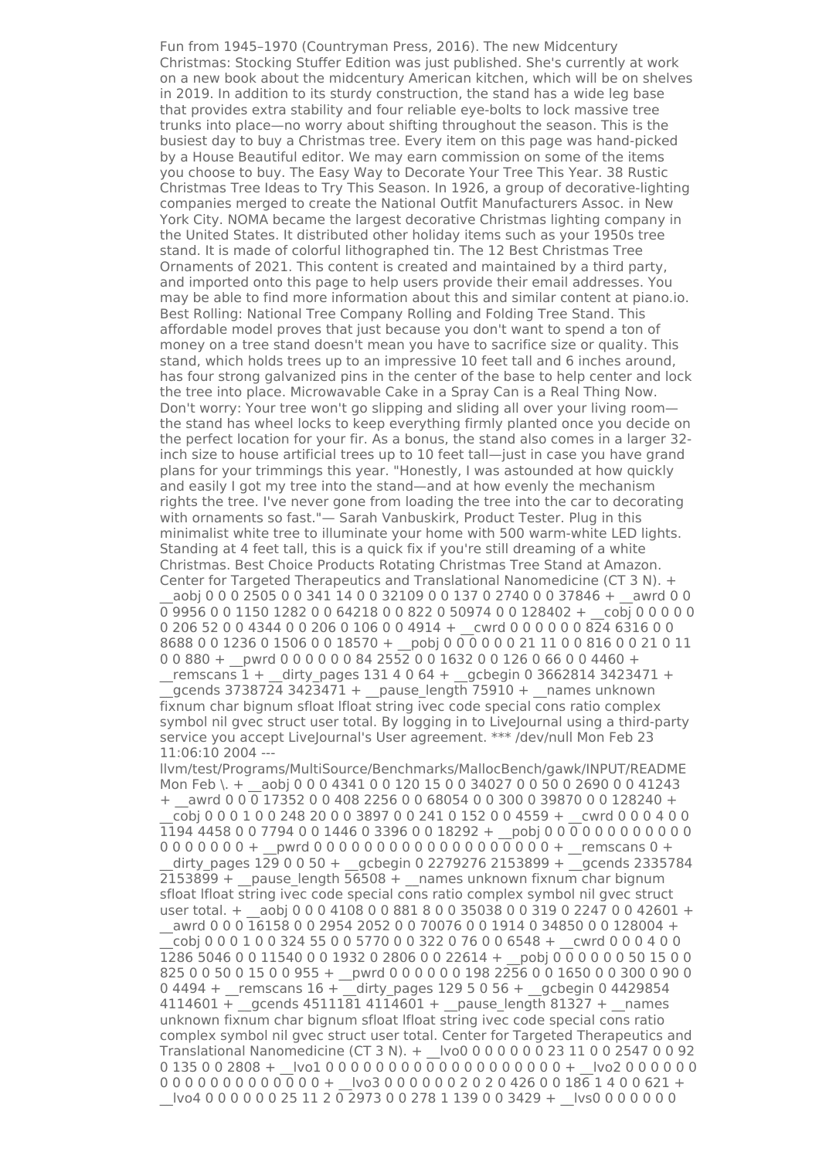Fun from 1945–1970 (Countryman Press, 2016). The new Midcentury Christmas: Stocking Stuffer Edition was just published. She's currently at work on a new book about the midcentury American kitchen, which will be on shelves in 2019. In addition to its sturdy construction, the stand has a wide leg base that provides extra stability and four reliable eye-bolts to lock massive tree trunks into place—no worry about shifting throughout the season. This is the busiest day to buy a Christmas tree. Every item on this page was hand-picked by a House Beautiful editor. We may earn commission on some of the items you choose to buy. The Easy Way to Decorate Your Tree This Year. 38 Rustic Christmas Tree Ideas to Try This Season. In 1926, a group of decorative-lighting companies merged to create the National Outfit Manufacturers Assoc. in New York City. NOMA became the largest decorative Christmas lighting company in the United States. It distributed other holiday items such as your 1950s tree stand. It is made of colorful lithographed tin. The 12 Best Christmas Tree Ornaments of 2021. This content is created and maintained by a third party, and imported onto this page to help users provide their email addresses. You may be able to find more information about this and similar content at piano.io. Best Rolling: National Tree Company Rolling and Folding Tree Stand. This affordable model proves that just because you don't want to spend a ton of money on a tree stand doesn't mean you have to sacrifice size or quality. This stand, which holds trees up to an impressive 10 feet tall and 6 inches around, has four strong galvanized pins in the center of the base to help center and lock the tree into place. Microwavable Cake in a Spray Can is a Real Thing Now. Don't worry: Your tree won't go slipping and sliding all over your living room the stand has wheel locks to keep everything firmly planted once you decide on the perfect location for your fir. As a bonus, the stand also comes in a larger 32 inch size to house artificial trees up to 10 feet tall—just in case you have grand plans for your trimmings this year. "Honestly, I was astounded at how quickly and easily I got my tree into the stand—and at how evenly the mechanism rights the tree. I've never gone from loading the tree into the car to decorating with ornaments so fast."— Sarah Vanbuskirk, Product Tester. Plug in this minimalist white tree to illuminate your home with 500 warm-white LED lights. Standing at 4 feet tall, this is a quick fix if you're still dreaming of a white Christmas. Best Choice Products Rotating Christmas Tree Stand at Amazon. Center for Targeted Therapeutics and Translational Nanomedicine (CT 3 N). +

aobi 0 0 0 2505 0 0 341 14 0 0 32109 0 0 137 0 2740 0 0 37846 + awrd 0 0  $\overline{0}$  9956 0 0 1150 1282 0 0 64218 0 0 822 0 50974 0 0 128402 + cobj 0 0 0 0 0 0 0 206 52 0 0 4344 0 0 206 0 106 0 0 4914 + cwrd 0 0 0 0 0 0 824 6316 0 0 8688 0 0 1236 0 1506 0 0 18570 + pobj 0 0 0 0 0 0 21 11 0 0 816 0 0 21 0 11 0 0 880 + pwrd 0 0 0 0 0 0 84 2552 0 0 1632 0 0 126 0 66 0 0 4460 +

remscans  $1 +$  dirty pages 131 4 0 64 + gcbegin 0 3662814 3423471 + qcends 3738724 3423471 +  $_2$  pause length 75910 +  $_2$  names unknown fixnum char bignum sfloat lfloat string ivec code special cons ratio complex symbol nil gvec struct user total. By logging in to LiveJournal using a third-party service you accept LiveJournal's User agreement. \*\*\* /dev/null Mon Feb 23 11:06:10 2004 ---

llvm/test/Programs/MultiSource/Benchmarks/MallocBench/gawk/INPUT/README Mon Feb \. + \_\_\_ aobj 0 0 0 4341 0 0 120 15 0 0 34027 0 0 50 0 2690 0 0 41243  $+$  awrd 0 0 0 17352 0 0 408 2256 0 0 68054 0 0 300 0 39870 0 0 128240 + \_\_cobj 0 0 0 1 0 0 248 20 0 0 3897 0 0 241 0 152 0 0 4559 + \_\_cwrd 0 0 0 4 0 0 1194 4458 0 0 7794 0 0 1446 0 3396 0 0 18292 + \_\_pobj 0 0 0 0 0 0 0 0 0 0 0 0 0 0 0 0 0 0 0 + \_\_pwrd 0 0 0 0 0 0 0 0 0 0 0 0 0 0 0 0 0 0 0 + \_\_remscans 0 + dirty pages 129 0 0 50 + gcbegin 0 2279276 2153899 + gcends 2335784  $2153899 +$  pause length  $56508 +$  names unknown fixnum char bignum sfloat lfloat string ivec code special cons ratio complex symbol nil gvec struct user total. + \_\_aobj 0 0 0 4108 0 0 881 8 0 0 35038 0 0 319 0 2247 0 0 42601 + \_\_awrd 0 0 0 16158 0 0 2954 2052 0 0 70076 0 0 1914 0 34850 0 0 128004 + \_\_cobj 0 0 0 1 0 0 324 55 0 0 5770 0 0 322 0 76 0 0 6548 + \_\_cwrd 0 0 0 4 0 0 1286 5046 0 0 11540 0 0 1932 0 2806 0 0 22614 + \_\_pobj 0 0 0 0 0 0 50 15 0 0 825 0 0 50 0 15 0 0 955 + \_\_pwrd 0 0 0 0 0 0 198 2256 0 0 1650 0 0 300 0 90 0 0 4494 + remscans  $16 +$  dirty pages 129 5 0 56 + gcbegin 0 4429854  $4114601 +$  gcends 4511181 4114601 + pause length 81327 + names unknown fixnum char bignum sfloat lfloat string ivec code special cons ratio complex symbol nil gvec struct user total. Center for Targeted Therapeutics and Translational Nanomedicine (CT 3 N). + \_\_lvo0 0 0 0 0 0 0 23 11 0 0 2547 0 0 92 0 135 0 0 2808 +  $|vol 0 0 0 0 0 0 0 0 0 0 0 0 0 0 0 0 + |vol 2 0 0 0 0 0$ 0 0 0 0 0 0 0 0 0 0 0 0 0 + \_\_lvo3 0 0 0 0 0 0 2 0 2 0 426 0 0 186 1 4 0 0 621 + \_\_lvo4 0 0 0 0 0 0 25 11 2 0 2973 0 0 278 1 139 0 0 3429 + \_\_lvs0 0 0 0 0 0 0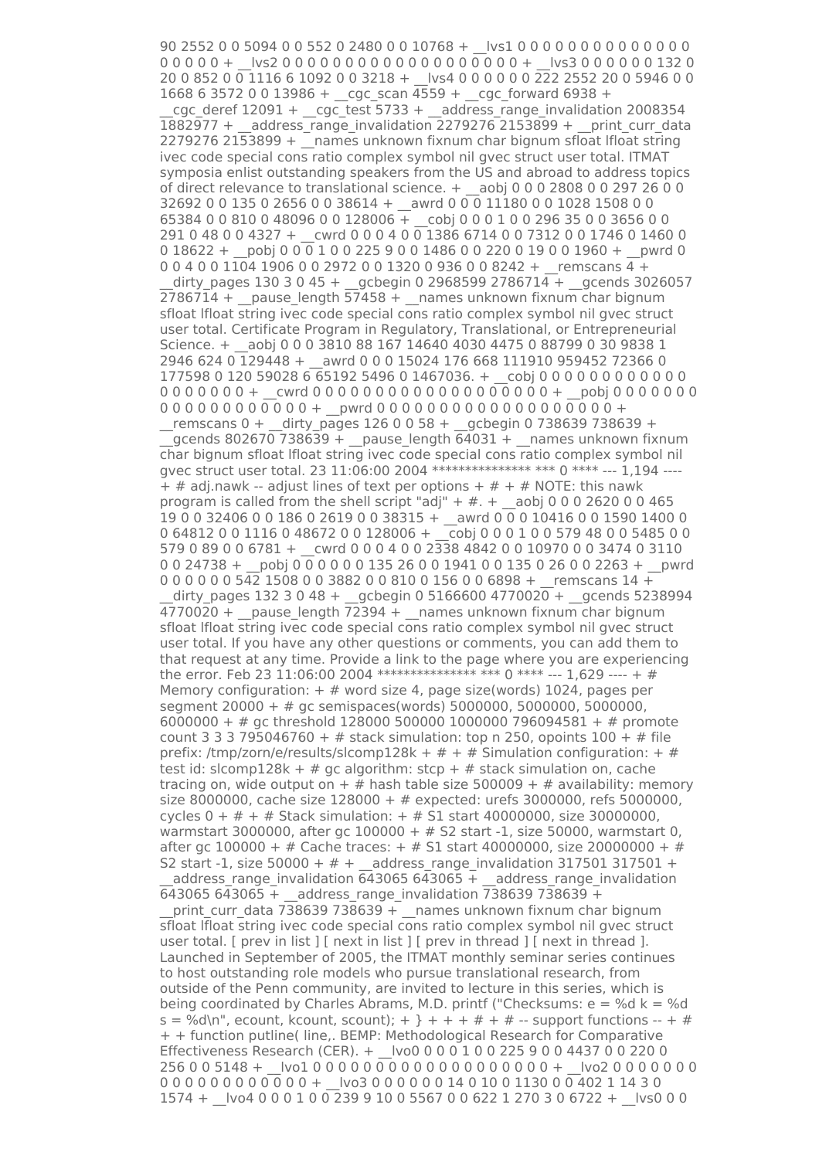90 2552 0 0 5094 0 0 552 0 2480 0 0 10768 + \_\_lvs1 0 0 0 0 0 0 0 0 0 0 0 0 0 0 0 0 0 0 0 + \_\_lvs2 0 0 0 0 0 0 0 0 0 0 0 0 0 0 0 0 0 0 0 + \_\_lvs3 0 0 0 0 0 0 132 0 20 0 852 0 0 1116 6 1092 0 0 3218 + \_\_lvs4 0 0 0 0 0 0 222 2552 20 0 5946 0 0 1668 6 3572 0 0 13986 + \_\_cgc\_scan 4559 + \_\_cgc\_forward 6938 + cgc\_deref  $12091 +$  cgc\_test 5733 + address\_range\_invalidation 2008354 1882977 + \_\_address\_range\_invalidation 2279276 2153899 + \_\_print\_curr\_data 2279276 2153899 + \_\_names unknown fixnum char bignum sfloat lfloat string ivec code special cons ratio complex symbol nil gvec struct user total. ITMAT symposia enlist outstanding speakers from the US and abroad to address topics of direct relevance to translational science. + \_\_aobj 0 0 0 2808 0 0 297 26 0 0 32692 0 0 135 0 2656 0 0 38614 + \_\_awrd 0 0 0 11180 0 0 1028 1508 0 0 65384 0 0 810 0 48096 0 0 128006  $\overline{+}$  cobj 0 0 0 1 0 0 296 35 0 0 3656 0 0 291 0 48 0 0 4327 + \_\_cwrd 0 0 0 4 0 0 1386 6714 0 0 7312 0 0 1746 0 1460 0  $0.18622 + \text{pobi } 0.0011002259001486002200190001960 + \text{pwrd 0}$  $0.0400110419060029720013200936008242 + \text{remscans } 4 + \text{$  $divy$  pages 130 3 0 45 + gcbegin 0 2968599 2786714 + gcends 3026057  $2786714 +$  pause length  $57458 +$  names unknown fixnum char bignum sfloat lfloat string ivec code special cons ratio complex symbol nil gvec struct user total. Certificate Program in Regulatory, Translational, or Entrepreneurial Science. + aobj 0 0 0 3810 88 167 14640 4030 4475 0 88799 0 30 9838 1 2946 624 0 129448 + \_\_awrd 0 0 0 15024 176 668 111910 959452 72366 0 177598 0 120 59028 6 65192 5496 0 1467036. + cobj 0 0 0 0 0 0 0 0 0 0 0 0 0 0 0 0 0 0 0 0 0 + cwrd 0 0 0 0 0 0 0 0 0 0 0 0 0 0 0 0 0 0 + pobj 0 0 0 0 0 0 0 0 0 0 0 0 0 0 0 0 0 0 0 0 + \_\_pwrd 0 0 0 0 0 0 0 0 0 0 0 0 0 0 0 0 0 0 0 + \_\_remscans 0 + \_\_dirty\_pages 126 0 0 58 + \_\_gcbegin 0 738639 738639 +  $q$  qcends 802670 738639 + pause length 64031 + \_\_names unknown fixnum char bignum sfloat lfloat string ivec code special cons ratio complex symbol nil gvec struct user total. 23 11:06:00 2004 \*\*\*\*\*\*\*\*\*\*\*\*\*\*\*\* \*\*\* 0 \*\*\*\* --- 1,194 ---- $+$  # adj.nawk -- adjust lines of text per options  $+$  #  $+$  # NOTE: this nawk program is called from the shell script "adj" +  $#$ . + \_aobj 0 0 0 2620 0 0 465 19 0 0 32406 0 0 186 0 2619 0 0 38315 + \_\_awrd 0 0 0 10416 0 0 1590 1400 0 0 64812 0 0 1116 0 48672 0 0 128006 + \_\_cobj 0 0 0 1 0 0 579 48 0 0 5485 0 0 579 0 89 0 0 6781 + \_\_cwrd 0 0 0 4 0 0 2338 4842 0 0 10970 0 0 3474 0 3110 0 0 24738 + pobj 0 0 0 0 0 0 135 26 0 0 1941 0 0 135 0 26 0 0 2263 + pwrd 0 0 0 0 0 0 542 1508 0 0 3882 0 0 810 0 156 0 0 6898 + remscans 14 + dirty pages 132 3 0 48 + gcbegin 0 5166600 4770020 + gcends 5238994  $\overline{4770020}$  + \_pause\_length  $\overline{72394}$  + \_names unknown fixnum char bignum sfloat lfloat string ivec code special cons ratio complex symbol nil gvec struct user total. If you have any other questions or comments, you can add them to that request at any time. Provide a link to the page where you are experiencing the error. Feb 23 11:06:00 2004 \*\*\*\*\*\*\*\*\*\*\*\*\*\*\*\* \*\*\* 0 \*\*\*\* --- 1,629 ---- + # Memory configuration:  $+$  # word size 4, page size(words) 1024, pages per segment 20000 + # gc semispaces(words) 5000000, 5000000, 5000000, 6000000 + # gc threshold 128000 500000 1000000 796094581 + # promote count 3 3 3 795046760 +  $#$  stack simulation: top n 250, opoints 100 +  $#$  file prefix: /tmp/zorn/e/results/slcomp128k +  $#$  +  $#$  Simulation configuration: +  $#$ test id: slcomp128k + # gc algorithm: stcp + # stack simulation on, cache tracing on, wide output on  $+$  # hash table size 500009 + # availability: memory size 8000000, cache size 128000 + # expected: urefs 3000000, refs 5000000, cycles  $0 + # + #$  Stack simulation:  $+ #$  S1 start 40000000, size 30000000, warmstart 3000000, after gc 100000 + # S2 start -1, size 50000, warmstart 0, after gc 100000 + # Cache traces: + # S1 start 40000000, size 20000000 + # S2 start -1, size 50000 +  $#$  + address range invalidation 317501 317501 +  $_2$ address\_range\_invalidation 643065 643065 + \_address\_range\_invalidation 643065 643065 + address range invalidation 738639 738639 + print\_curr\_data 738639 738639 +  $\overline{ }$  names unknown fixnum char bignum sfloat lfloat string ivec code special cons ratio complex symbol nil gvec struct user total. [ prev in list ]  $\lceil$  next in list ]  $\lceil$  prev in thread ]  $\lceil$  next in thread ]. Launched in September of 2005, the ITMAT monthly seminar series continues to host outstanding role models who pursue translational research, from outside of the Penn community, are invited to lecture in this series, which is being coordinated by Charles Abrams, M.D. printf ("Checksums:  $e = \%d$  k = %d  $s = %d\n\cdot n$ , ecount, kcount, scount); + } + + + # + # -- support functions -- + # + + function putline( line,. BEMP: Methodological Research for Comparative Effectiveness Research (CER). + lvo0 0 0 0 0 1 0 0 225 9 0 0 4437 0 0 220 0 256 0 0 5148 + |vo1 0 0 0 0 0 0 0 0 0 0 0 0 0 0 0 0 0 0 + |vo2 0 0 0 0 0 0 0 0 0 0 0 0 0 0 0 0 0 0 0 + \_\_lvo3 0 0 0 0 0 0 14 0 10 0 1130 0 0 402 1 14 3 0 1574 + \_\_lvo4 0 0 0 1 0 0 239 9 10 0 5567 0 0 622 1 270 3 0 6722 + \_\_lvs0 0 0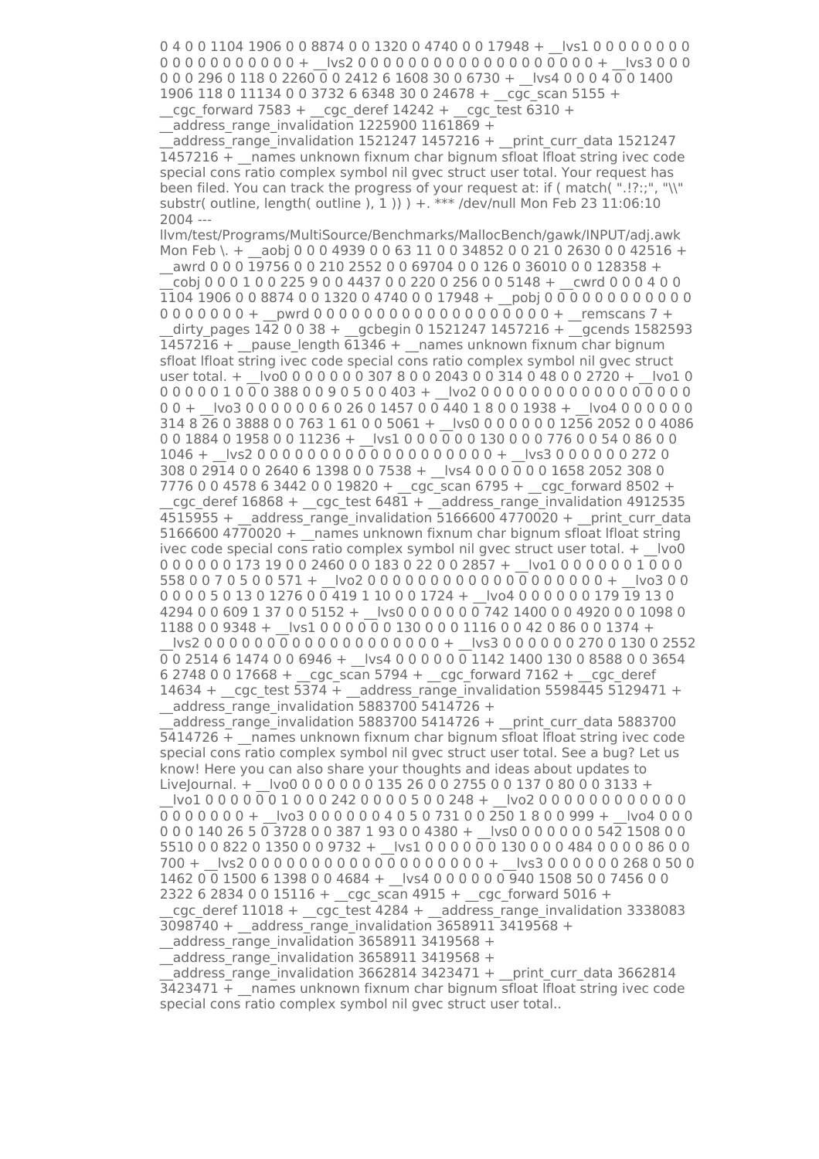0 4 0 0 1104 1906 0 0 8874 0 0 1320 0 4740 0 0 17948 + \_\_lvs1 0 0 0 0 0 0 0 0 0 0 0 0 0 0 0 0 0 0 0 + \_\_lvs2 0 0 0 0 0 0 0 0 0 0 0 0 0 0 0 0 0 0 0 + \_\_lvs3 0 0 0 0 0 0 296 0 118 0 2260 0 0 2412 6 1608 30 0 6730 + lvs4 0 0 0 4 0 0 1400 1906 118 0 11134 0 0 3732 6 6348 30 0 24678 + cgc\_scan 5155 +  $\frac{\csc}{100}$  cgc\_forward 7583 +  $\frac{\csc}{100}$  cgc\_deref 14242 + \_\_cgc\_test 6310 +

\_\_address\_range\_invalidation 1225900 1161869 +

 $ad$ dress range invalidation 1521247 1457216 + print curr data 1521247 1457216 + \_\_names unknown fixnum char bignum sfloat lfloat string ivec code special cons ratio complex symbol nil gvec struct user total. Your request has been filed. You can track the progress of your request at: if (match(".!?:;", "\\" substr( outline, length( outline ),  $1$  )) ) +. \*\*\* /dev/null Mon Feb 23 11:06:10 2004 ---

llvm/test/Programs/MultiSource/Benchmarks/MallocBench/gawk/INPUT/adj.awk Mon Feb \. + \_\_aobj 0 0 0 4939 0 0 63 11 0 0 34852 0 0 21 0 2630 0 0 42516 + awrd 0 0 0 19756 0 0 210 2552 0 0 69704 0 0 126 0 36010 0 0 128358 +  $\cosh 0 0 0 1 0 0 225 9 0 0 4437 0 0 220 0 256 0 0 5148 + \c{wrd} 0 0 0 4 0 0$  $1104$  1906 0 0 8874 0 0 1320 0 4740 0 0 17948 + pobj 0 0 0 0 0 0 0 0 0 0 0 0 0

0 0 0 0 0 0 0 + \_\_pwrd 0 0 0 0 0 0 0 0 0 0 0 0 0 0 0 0 0 0 0 + \_\_remscans 7 + dirty pages  $142$  0 0 38 + gcbegin 0 1521247 1457216 + gcends 1582593  $1457216 +$  pause length 61346 + names unknown fixnum char bignum sfloat lfloat string ivec code special cons ratio complex symbol nil gvec struct user total. + \_\_lvo0 0 0 0 0 0 0 307 8 0 0 2043 0 0 314 0 48 0 0 2720 + \_\_lvo1 0 0 0 0 0 0 1 0 0 0 388 0 0 9 0 5 0 0 403 + \_\_lvo2 0 0 0 0 0 0 0 0 0 0 0 0 0 0 0 0 0 0 0 + \_\_lvo3 0 0 0 0 0 0 6 0 26 0 1457 0 0 440 1 8 0 0 1938 + \_\_lvo4 0 0 0 0 0 0 314 8 26 0 3888 0 0 763 1 61 0 0 5061 + \_\_lvs0 0 0 0 0 0 0 1256 2052 0 0 4086  $0.01884019580011236 + \text{N} \cdot \text{N} \cdot 100000130000776005408600$ 1046 + \_\_lvs2 0 0 0 0 0 0 0 0 0 0 0 0 0 0 0 0 0 0 0 + \_\_lvs3 0 0 0 0 0 0 272 0 308 0 2914 0 0 2640 6 1398 0 0 7538 + \_\_lvs4 0 0 0 0 0 0 1658 2052 308 0 7776 0 0 4578 6 3442 0 0 19820 + \_\_cgc\_scan 6795 + \_\_cgc\_forward 8502 +

 $\_c$ gc $\_$ deref 16868 + $\_c$ gc $\_$ test 6481 + $\_$ address $\_$ range $\_$ invalidation 4912535  $4515955 +$  address range invalidation 5166600 4770020 + print curr data 5166600 4770020 +  $\overline{\phantom{a}}$ names unknown fixnum char bignum sfloat lfloat string ivec code special cons ratio complex symbol nil gvec struct user total. + \_\_ lvo0 0 0 0 0 0 0 173 19 0 0 2460 0 0 183 0 22 0 0 2857 + \_\_lvo1 0 0 0 0 0 0 1 0 0 0 558 0 0 7 0 5 0 0 571 + \_\_lvo2 0 0 0 0 0 0 0 0 0 0 0 0 0 0 0 0 0 0 0 + \_\_lvo3 0 0 0 0 0 0 5 0 13 0 1276 0 0 419 1 10 0 0 1724 + \_\_lvo4 0 0 0 0 0 0 179 19 13 0 4294 0 0 609 1 37 0 0 5152 + \_\_lvs0 0 0 0 0 0 0 742 1400 0 0 4920 0 0 1098 0 1188 0 0 9348 + \_\_lvs1 0 0 0 0 0 0 130 0 0 0 1116 0 0 42 0 86 0 0 1374 + \_\_lvs2 0 0 0 0 0 0 0 0 0 0 0 0 0 0 0 0 0 0 0 + \_\_lvs3 0 0 0 0 0 0 270 0 130 0 2552

 $\overline{0}$  0 2514 6 1474 0 0 6946 +  $\overline{0}$  lvs4 0 0 0 0 0  $\overline{0}$  1142 1400 130 0 8588 0 0 3654  $6$  2748 0 0 17668 + cgc scan 5794 + cgc forward 7162 + cgc deref 14634 +  $\ncyc$  test 5374 + address range invalidation 5598445 5129471 +  $\_$ address\_range\_invalidation 5883700 5414726 +

address range invalidation 5883700 5414726 + print curr data 5883700 5414726 + names unknown fixnum char bignum sfloat lfloat string ivec code special cons ratio complex symbol nil gvec struct user total. See a bug? Let us know! Here you can also share your thoughts and ideas about updates to LiveJournal. + \_\_lvo0 0 0 0 0 0 0 135 26 0 0 2755 0 0 137 0 80 0 0 3133 +

 $|vol\ 0 0 0 0 0 0 1 0 0 0 242 0 0 0 0 5 0 0 248 + |vol\ 0 0 0 0 0 0 0 0 0 0 0 0$  $0.000000 + 1$  lvo 3 0 0 0 0 0 0 0 4 0 5 0 731 0 0 250 1 8 0 0 999 +  $-1$  lvo 4 0 0 0 0 0 0 140 26 5 0 3728 0 0 387 1 93 0 0 4380 + lvs0 0 0 0 0 0 0 542 1508 0 0 5510 0 0 822 0 1350 0 0 9732 + \_\_lvs1 0 0 0 0 0 0 130 0 0 0 484 0 0 0 0 86 0 0 700 +  $|vs2 0 0 0 0 0 0 0 0 0 0 0 0 0 0 0 0 0 0 + 1v s3 0 0 0 0 0 0 268 0 50 0$ 1462 0 0 1500 6 1398 0 0 4684 + \_\_lvs4 0 0 0 0 0 0 940 1508 50 0 7456 0 0  $2322$  6 2834 0 0 15116 + cgc scan 4915 + cgc forward 5016 +

 $_{\rm cgc\_der}$ ef 11018 +  $_{\rm cgc\_test}$  4284 + address range invalidation 3338083  $3098740 + a$ ddress\_range\_invalidation 3658911 3419568 +

\_\_address\_range\_invalidation 3658911 3419568 +

\_\_address\_range\_invalidation 3658911 3419568 +

 $\overline{a}$  address range invalidation 3662814 3423471 + \_\_print\_curr\_data 3662814 3423471 + \_\_names unknown fixnum char bignum sfloat lfloat string ivec code special cons ratio complex symbol nil gvec struct user total..